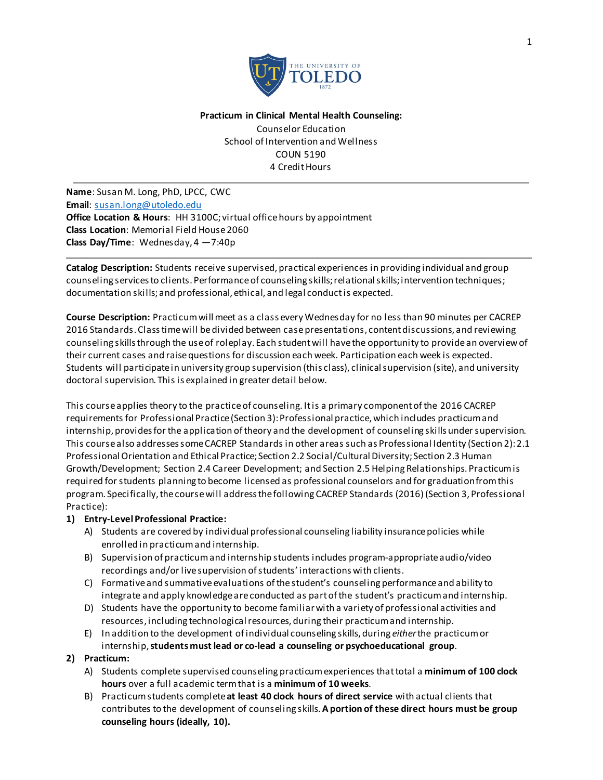

#### **Practicum in Clinical Mental Health Counseling:**

Counselor Education School of Intervention and Wellness COUN 5190 4 Credit Hours

**Name**: Susan M. Long, PhD, LPCC, CWC **Email**: [susan.long@utoledo.edu](mailto:susan.long@utoledo.edu) **Office Location & Hours:** HH 3100C; virtual office hours by appointment **Class Location**: Memorial Field House 2060 **Class Day/Time**: Wednesday, 4 —7:40p

**Catalog Description:** Students receive supervised, practical experiences in providing individual and group counseling services to clients. Performance of counseling skills; relationalskills; intervention techniques; documentation skills; and professional, ethical, and legal conduct is expected.

**Course Description:** Practicum will meet as a class every Wednesday for no less than 90 minutes per CACREP 2016 Standards. Class time will be divided between case presentations, content discussions, and reviewing counseling skills through the use of roleplay. Each student will have the opportunity to provide an overview of their current cases and raise questions for discussion each week. Participation each week is expected. Students will participate in university group supervision (this class), clinical supervision (site), and university doctoral supervision. This is explained in greater detail below.

This course applies theory to the practice of counseling. It is a primary component of the 2016 CACREP requirements for Professional Practice (Section 3): Professional practice, which includes practicum and internship, provides for the application of theory and the development of counseling skills under supervision. This course also addresses some CACREP Standards in other areas such as Professional Identity (Section 2): 2.1 Professional Orientation and Ethical Practice; Section 2.2 Social/Cultural Diversity; Section 2.3 Human Growth/Development; Section 2.4 Career Development; and Section 2.5 Helping Relationships. Practicum is required for students planning to become licensed as professional counselors and for graduation from this program. Specifically, the course will address the following CACREP Standards (2016) (Section 3, Professional Practice):

### **1) Entry-Level Professional Practice:**

- A) Students are covered by individual professional counseling liability insurance policies while enrolled in practicumand internship.
- B) Supervision of practicumand internship students includes program-appropriate audio/video recordings and/or live supervision of students' interactions with clients.
- C) Formative and summative evaluations of the student's counseling performance and ability to integrate and apply knowledge are conducted as part of the student's practicumand internship.
- D) Students have the opportunity to become familiar with a variety of professional activities and resources, including technological resources, during their practicumand internship.
- E) In addition to the development of individual counseling skills, during *either*the practicumor internship, **students must lead or co-lead a counseling or psychoeducational group**.

# **2) Practicum:**

- A) Students complete supervised counseling practicumexperiences that total a **minimum of 100 clock hours** over a full academic termthat is a **minimum of 10 weeks**.
- B) Practicumstudents complete **at least 40 clock hours of direct service** with actual clients that contributes to the development of counseling skills.**A portion of these direct hours must be group counseling hours (ideally, 10).**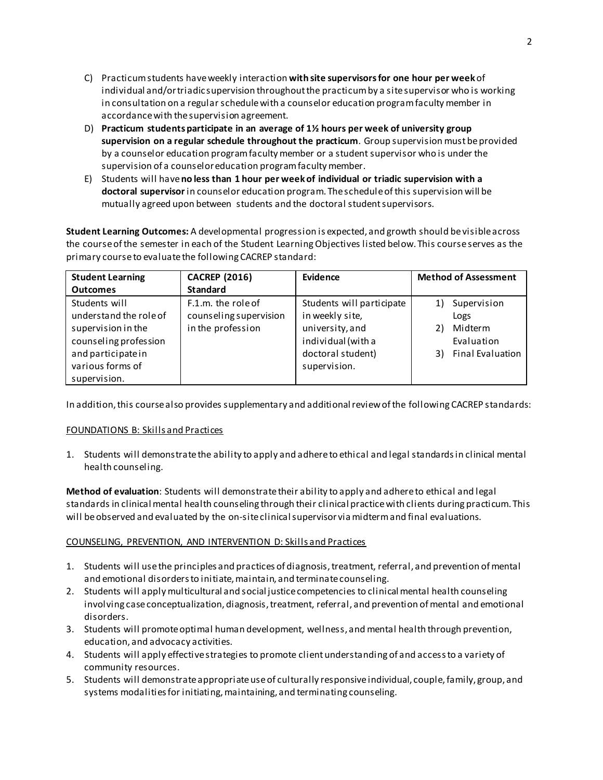- C) Practicumstudents have weekly interaction **with site supervisors for one hour per week** of individual and/ortriadic supervision throughout the practicumby a site supervisor who is working in consultation on a regular schedulewith a counselor education program faculty member in accordance with the supervision agreement.
- D) **Practicum students participate in an average of 1½ hours per week of university group supervision on a regular schedule throughout the practicum**. Group supervision must be provided by a counselor education program faculty member or a student supervisor who is under the supervision of a counselor education program faculty member.
- E) Students will have **no less than 1 hour per week of individual or triadic supervision with a doctoral supervisor** in counselor education program. The schedule of this supervision will be mutually agreed upon between students and the doctoral student supervisors.

**Student Learning Outcomes:** A developmental progression is expected, and growth should be visible across the course of the semester in each of the Student Learning Objectives listed below. This course serves as the primary course to evaluate the following CACREP standard:

| <b>Student Learning</b>                                                                                                          | <b>CACREP (2016)</b>                                              | Evidence                                                                                                                   | <b>Method of Assessment</b>                                                               |
|----------------------------------------------------------------------------------------------------------------------------------|-------------------------------------------------------------------|----------------------------------------------------------------------------------------------------------------------------|-------------------------------------------------------------------------------------------|
| <b>Outcomes</b>                                                                                                                  | <b>Standard</b>                                                   |                                                                                                                            |                                                                                           |
| Students will<br>understand the role of<br>supervision in the<br>counseling profession<br>and participate in<br>various forms of | F.1.m. the role of<br>counseling supervision<br>in the profession | Students will participate<br>in weekly site,<br>university, and<br>individual (with a<br>doctoral student)<br>supervision. | Supervision<br>1)<br>Logs<br>Midterm<br>2)<br>Evaluation<br><b>Final Evaluation</b><br>3) |
| supervision.                                                                                                                     |                                                                   |                                                                                                                            |                                                                                           |

In addition, this course also provides supplementary and additional review of the following CACREP standards:

### FOUNDATIONS B: Skills and Practices

1. Students will demonstratethe ability to apply and adhere to ethical and legal standards in clinical mental health counseling.

**Method of evaluation**: Students will demonstrate their ability to apply and adhere to ethical and legal standards in clinical mental health counseling through their clinical practice with clients during practicum. This will be observed and evaluated by the on-siteclinical supervisor via midterm and final evaluations.

# COUNSELING, PREVENTION, AND INTERVENTION D: Skills and Practices

- 1. Students will usethe principles and practices of diagnosis, treatment, referral, and prevention of mental and emotional disorders to initiate, maintain, and terminate counseling.
- 2. Students will apply multicultural and social justice competencies to clinical mental health counseling involving case conceptualization, diagnosis, treatment, referral, and prevention of mental and emotional disorders.
- 3. Students will promoteoptimal human development, wellness, and mental health through prevention, education, and advocacy activities.
- 4. Students will apply effective strategies to promote client understanding of and access to a variety of community resources.
- 5. Students will demonstrateappropriate use of culturally responsive individual, couple, family, group, and systems modalities for initiating, maintaining, and terminating counseling.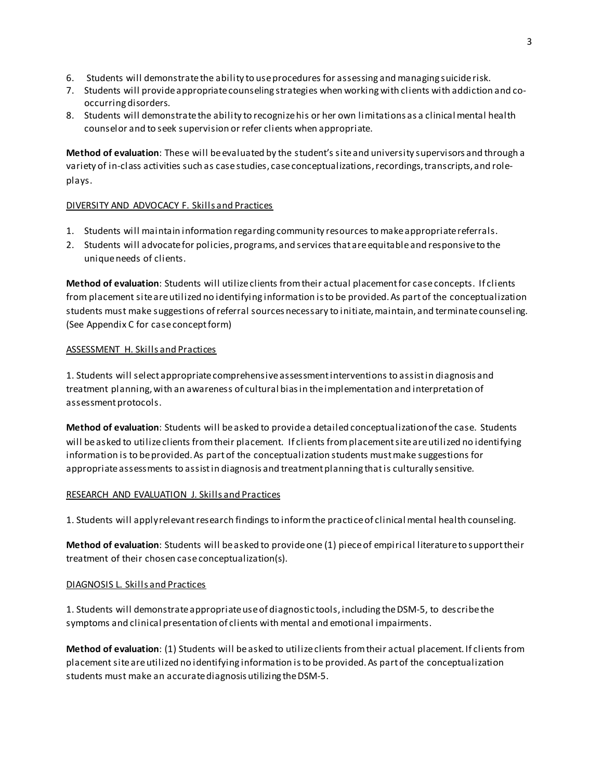- 6. Students will demonstratethe ability to use procedures for assessing and managing suiciderisk.
- 7. Students will provideappropriate counseling strategies when working with clients with addiction and cooccurring disorders.
- 8. Students will demonstratethe ability to recognize his or her own limitations as a clinical mental health counselor and to seek supervision or refer clients when appropriate.

**Method of evaluation**: These will be evaluated by the student's site and university supervisors and through a variety of in-class activities such as case studies, case conceptualizations, recordings, transcripts, and roleplays.

### DIVERSITY AND ADVOCACY F. Skills and Practices

- 1. Students will maintain information regarding community resources to make appropriate referrals.
- 2. Students will advocatefor policies, programs, and services that are equitable and responsive to the unique needs of clients.

**Method of evaluation**: Students will utilize clients from their actual placementfor case concepts. If clients from placement site are utilized no identifying information is to be provided. As part of the conceptualization students must make suggestions of referral sources necessary to initiate, maintain, and terminate counseling. (See Appendix C for case concept form)

### ASSESSMENT H. Skills and Practices

1. Students will select appropriate comprehensive assessment interventions to assist in diagnosis and treatment planning, with an awareness of cultural bias in the implementation and interpretation of assessment protocols.

**Method of evaluation**: Students will be asked to provide a detailed conceptualization of the case. Students will be asked to utilize clients from their placement. If clients from placement site are utilized no identifying information is to be provided. As part of the conceptualization students must make suggestions for appropriate assessments to assist in diagnosis and treatment planning that is culturally sensitive.

### RESEARCH AND EVALUATION J. Skills and Practices

1. Students will applyrelevant research findings to inform the practice of clinical mental health counseling.

**Method of evaluation**: Students will be asked to provide one (1) piece of empirical literature to support their treatment of their chosen case conceptualization(s).

### DIAGNOSIS L. Skills and Practices

1. Students will demonstrateappropriate use of diagnostic tools, including the DSM-5, to describe the symptoms and clinical presentation of clients with mental and emotional impairments.

**Method of evaluation**: (1) Students will be asked to utilize clients from their actual placement. If clients from placement site are utilized no identifying information is to be provided. As part of the conceptualization students must make an accurate diagnosis utilizing the DSM-5.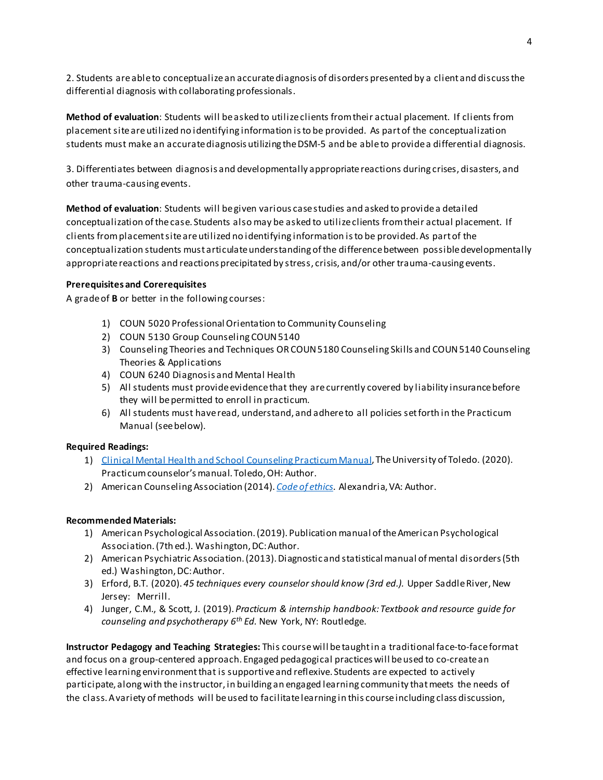2. Students areable to conceptualize an accurate diagnosis of disorders presented by a client and discuss the differential diagnosis with collaborating professionals.

**Method of evaluation**: Students will be asked to utilize clients from their actual placement. If clients from placement site are utilized no identifying information is to be provided. As part of the conceptualization students must make an accurate diagnosis utilizing the DSM-5 and be able to provide a differential diagnosis.

3. Differentiates between diagnosis and developmentally appropriate reactions during crises, disasters, and other trauma-causing events.

**Method of evaluation**: Students will be given various case studies and asked to provide a detailed conceptualization ofthe case. Students also may be asked to utilize clients from their actual placement. If clients from placement site are utilized no identifying information is to be provided. As part of the conceptualization students must articulate understanding of the difference between possible developmentally appropriate reactions and reactions precipitated by stress, crisis, and/or other trauma-causing events.

### **Prerequisites and Corerequisites**

A grade of **B** or better in the following courses:

- 1) COUN 5020 Professional Orientation to Community Counseling
- 2) COUN 5130 Group Counseling COUN 5140
- 3) Counseling Theories and Techniques OR COUN 5180 Counseling Skills and COUN 5140 Counseling Theories & Applications
- 4) COUN 6240 Diagnosis and Mental Health
- 5) All students must provide evidence that they are currently covered by liability insurance before they will be permitted to enroll in practicum.
- 6) All students must have read, understand, and adhere to all policies set forth in the Practicum Manual (see below).

### **Required Readings:**

- 1) [Clinical Mental Health and School Counseling](https://www.utoledo.edu/hhs/counselor-education/4Students/PDFs/Practicum%20Manual%20.pdf) Practicum Manual, The University of Toledo. (2020). Practicum counselor's manual. Toledo, OH: Author.
- 2) American Counseling Association (2014). *[Code of ethics](https://www.counseling.org/resources/aca-code-of-ethics.pdf)*. Alexandria, VA: Author.

### **Recommended Materials:**

- 1) American Psychological Association. (2019). Publication manual of the American Psychological Association.(7th ed.). Washington, DC: Author.
- 2) American Psychiatric Association. (2013). Diagnostic and statistical manual of mental disorders (5th ed.) Washington, DC: Author.
- 3) Erford, B.T. (2020). *45 techniques every counselor should know (3rd ed.).* Upper Saddle River, New Jersey: Merrill.
- 4) Junger, C.M., & Scott, J. (2019). *Practicum & internship handbook: Textbook and resource guide for counseling and psychotherapy 6th Ed.* New York, NY: Routledge.

**Instructor Pedagogy and Teaching Strategies:** This course will be taught in a traditional face-to-face format and focus on a group-centered approach. Engaged pedagogical practices will be used to co-create an effective learning environment that is supportive and reflexive. Students are expected to actively participate, along with the instructor, in building an engaged learning community that meets the needs of the class. A variety of methods will be used to facilitate learning in this course including class discussion,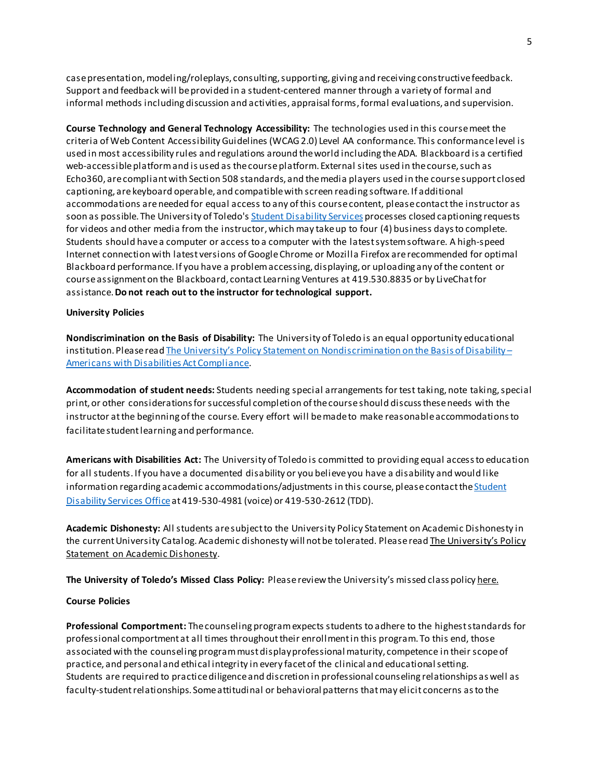case presentation, modeling/roleplays, consulting, supporting, giving and receiving constructive feedback. Support and feedback will be provided in a student-centered manner through a variety of formal and informal methods including discussion and activities, appraisal forms, formal evaluations, and supervision.

**Course Technology and General Technology Accessibility:** The technologies used in this course meet the criteria of Web Content Accessibility Guidelines (WCAG2.0) Level AA conformance. This conformancelevel is used in most accessibility rules and regulations around the world including the ADA. Blackboard is a certified web-accessible platform and is used as the course platform. External sites used in the course, such as Echo360, are compliant with Section 508 standards, and the media players used in the course support closed captioning, are keyboard operable, and compatible with screen reading software. If additional accommodations are needed for equal access to any of this course content, please contact the instructor as soon as possible. The University of Toledo's [Student Disability Services](https://www.utoledo.edu/offices/student-disability-services/) processes closed captioning requests for videos and other media from the instructor, which may take up to four (4) business days to complete. Students should have a computer or access to a computer with the latest system software. A high-speed Internet connection with latest versions of Google Chrome or Mozilla Firefox are recommended for optimal Blackboard performance. If you have a problem accessing, displaying, or uploading any of the content or course assignment on the Blackboard, contact Learning Ventures at 419.530.8835 or by LiveChat for assistance. **Do not reach out to the instructor for technological support.**

#### **University Policies**

**Nondiscrimination on the Basis of Disability:** The University of Toledo is an equal opportunity educational institution. Please rea[d The University's Policy Statement on Nondiscrimination on the Basis of Disability –](https://www.utoledo.edu/policies/administration/diversity/pdfs/3364_50_03_Nondiscrimination_o.pdf) [Americans with Disabilities Act Compliance.](https://www.utoledo.edu/policies/administration/diversity/pdfs/3364_50_03_Nondiscrimination_o.pdf)

**Accommodation of student needs:** Students needing special arrangements for test taking, note taking, special print, or other considerations for successful completion of the course should discuss these needs with the instructor at the beginning of the course. Every effort will be made to make reasonable accommodations to facilitate student learning and performance.

**Americans with Disabilities Act:** The University of Toledo is committed to providing equal access to education for all students. If you have a documented disability or you believe you have a disability and would like information regarding academic accommodations/adjustments in this course, please contact the Student [Disability Services Office](http://www.utoledo.edu/offices/student-disability-services/)at 419-530-4981 (voice) or 419-530-2612 (TDD).

**Academic Dishonesty:** All students are subject to the University Policy Statement on Academic Dishonesty in the current University Catalog. Academic dishonesty will not be tolerated. Please read The University's Policy [Statement on Academic Dishonesty.](http://www.utoledo.edu/dl/students/dishonesty.html)

**The University of Toledo's Missed Class Policy:** Please review the University's missed class polic[y here.](https://www.utoledo.edu/policies/academic/undergraduate/pdfs/3364-71-14%20Missed%20class%20policy.pdf)

#### **Course Policies**

**Professional Comportment:** The counseling program expects students to adhere to the highest standards for professional comportment at all times throughout their enrollment in this program. To this end, those associated with the counseling program must display professional maturity, competence in their scope of practice, and personal and ethical integrity in every facet of the clinical and educational setting. Students are required to practice diligence and discretion in professional counseling relationships as well as faculty-student relationships. Some attitudinal or behavioral patterns that may elicit concerns as to the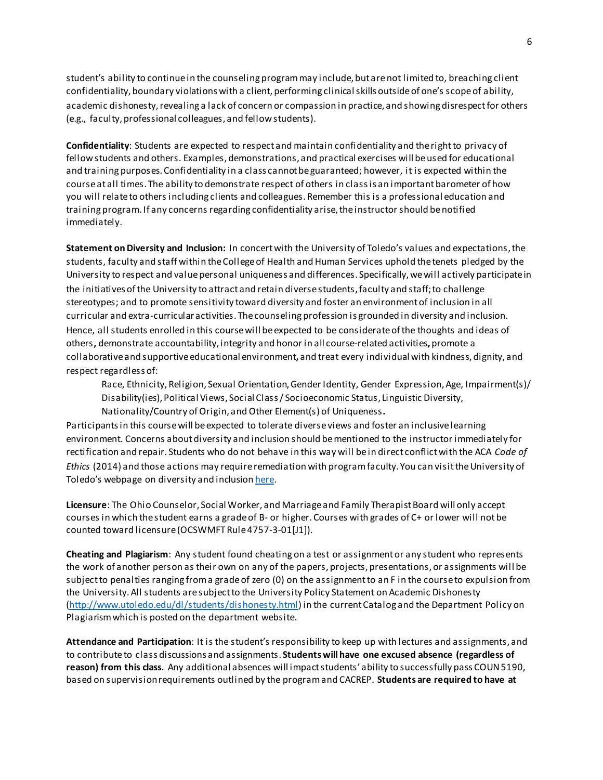student's ability to continue in the counseling program may include, but are not limited to, breaching client confidentiality, boundary violations with a client, performing clinical skills outside of one's scope of ability, academic dishonesty, revealing a lack of concern or compassion in practice, and showing disrespect for others (e.g., faculty, professional colleagues, and fellow students).

**Confidentiality**: Students are expected to respect and maintain confidentiality and the right to privacy of fellow students and others. Examples, demonstrations, and practical exercises will be used for educational and training purposes. Confidentiality in a class cannot be guaranteed; however, it is expected within the course at all times. The ability to demonstrate respect of others in class is an important barometer of how you will relate to others including clients and colleagues. Remember this is a professional education and training program. If any concerns regarding confidentiality arise, the instructor should be notified immediately.

**Statement on Diversity and Inclusion:** In concert with the University of Toledo's values and expectations, the students, faculty and staff within the College of Health and Human Services uphold the tenets pledged by the University to respect and value personal uniqueness and differences. Specifically, we will actively participate in the initiatives of the University to attract and retain diverse students, faculty and staff; to challenge stereotypes; and to promote sensitivity toward diversity and foster an environment of inclusion in all curricular and extra-curricular activities. The counseling profession is grounded in diversity and inclusion. Hence, all students enrolled in this course will be expected to be considerate of the thoughts and ideas of others**,** demonstrate accountability, integrity and honor in all course-related activities**,** promote a collaborative and supportive educational environment**,** and treat every individual with kindness, dignity, and respect regardless of:

Race, Ethnicity, Religion, Sexual Orientation, Gender Identity, Gender Expression, Age, Impairment(s)/ Disability(ies), Political Views, Social Class / Socioeconomic Status, Linguistic Diversity, Nationality/Country of Origin, and Other Element(s) of Uniqueness**.**

Participants in this course will be expected to tolerate diverse views and foster an inclusive learning environment. Concerns about diversity and inclusion should be mentioned to the instructor immediately for rectification and repair. Students who do not behave in this way will be in direct conflict with the ACA *Code of Ethics* (2014) and those actions may require remediation with program faculty. You can visit the University of Toledo's webpage on diversity and inclusio[n here.](http://www.utoledo.edu/diversity/)

**Licensure**: The Ohio Counselor, Social Worker, and Marriage and Family Therapist Board will only accept courses in which the student earns a grade of B- or higher. Courses with grades of C+ or lower will not be counted toward licensure (OCSWMFT Rule 4757-3-01[J1]).

**Cheating and Plagiarism**: Any student found cheating on a test or assignment or any student who represents the work of another person as their own on any of the papers, projects, presentations, or assignments will be subject to penalties ranging from a grade of zero (0) on the assignment to an F in the course to expulsion from the University. All students are subject to the University Policy Statement on Academic Dishonesty [\(http://www.utoledo.edu/dl/students/dishonesty.html\)](http://www.utoledo.edu/dl/students/dishonesty.html) in the current Catalog and the Department Policy on Plagiarism which is posted on the department website.

**Attendance and Participation**: It is the student's responsibility to keep up with lectures and assignments, and to contribute to class discussions and assignments. **Students will have one excused absence (regardless of reason) from this class**. Any additional absences will impact students' ability to successfully pass COUN 5190, based on supervision requirements outlined by the program and CACREP. **Students are required to have at**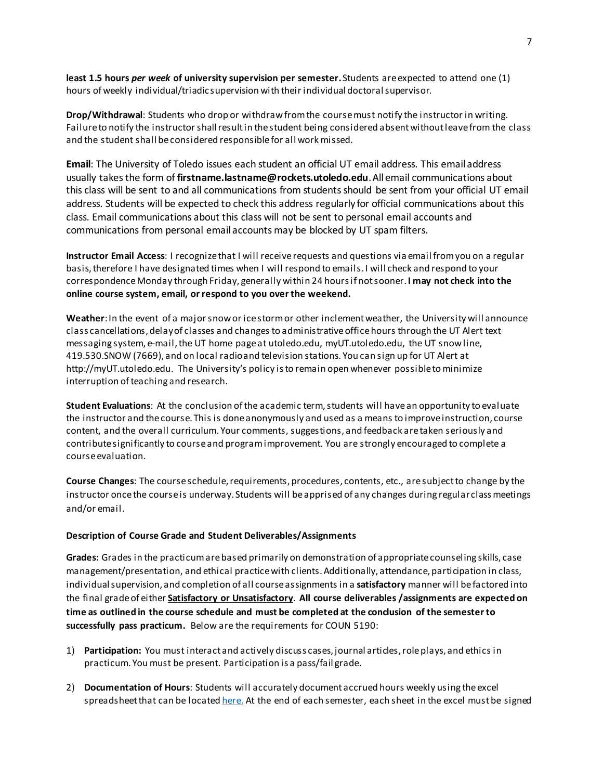**least 1.5 hours** *per week* **of university supervision per semester.** Students are expected to attend one (1) hours of weekly individual/triadic supervision with their individual doctoral supervisor.

**Drop/Withdrawal**: Students who drop or withdraw from the course must notify the instructor in writing. Failure to notify the instructor shall result in the student being considered absent without leave from the class and the student shall be considered responsible for all work missed.

**Email**: The University of Toledo issues each student an official UT email address. This email address usually takes the form of **firstname.lastname@rockets.utoledo.edu**. All email communications about this class will be sent to and all communications from students should be sent from your official UT email address. Students will be expected to check this address regularly for official communications about this class. Email communications about this class will not be sent to personal email accounts and communications from personal email accounts may be blocked by UT spam filters.

**Instructor Email Access**: I recognize that I will receive requests and questions via email from you on a regular basis, therefore I have designated times when I will respond to emails. I will check and respond to your correspondence Monday through Friday, generally within 24 hours if not sooner. **I may not check into the online course system, email, or respond to you over the weekend.**

**Weather**: In the event of a major snow or ice storm or other inclement weather, the University will announce class cancellations, delay of classes and changes to administrative office hours through the UT Alert text messaging system, e-mail, the UT home page at utoledo.edu, myUT.utoledo.edu, the UT snow line, 419.530.SNOW (7669), and on local radio and television stations. You can sign up for UT Alert at http://myUT.utoledo.edu. The University's policy is to remain open whenever possible to minimize interruption of teaching and research.

**Student Evaluations**: At the conclusion of the academic term, students will have an opportunity to evaluate the instructor and the course. This is done anonymously and used as a means to improve instruction, course content, and the overall curriculum. Your comments, suggestions, and feedback are taken seriously and contribute significantly to course and program improvement. You are strongly encouraged to complete a course evaluation.

**Course Changes**: The course schedule, requirements, procedures, contents, etc., are subject to change by the instructor once the course is underway. Students will be apprised of any changes during regular class meetings and/or email.

#### **Description of Course Grade and Student Deliverables/Assignments**

**Grades:** Grades in the practicum are based primarily on demonstration of appropriate counseling skills, case management/presentation, and ethical practice with clients. Additionally, attendance, participation in class, individual supervision, and completion of all course assignments in a **satisfactory** manner will be factored into the final grade of either **Satisfactory or Unsatisfactory**. **All course deliverables /assignments are expected on time as outlined in the course schedule and must be completed at the conclusion of the semester to successfully pass practicum.** Below are the requirements for COUN 5190:

- 1) **Participation:** You must interact and actively discuss cases, journal articles, role plays, and ethics in practicum. You must be present. Participation is a pass/fail grade.
- 2) **Documentation of Hours**: Students will accurately document accrued hours weekly using the excel spreadsheet that can be locate[d here.](https://www.utoledo.edu/hhs/counselor-education/4Students/4Students.html) At the end of each semester, each sheet in the excel must be signed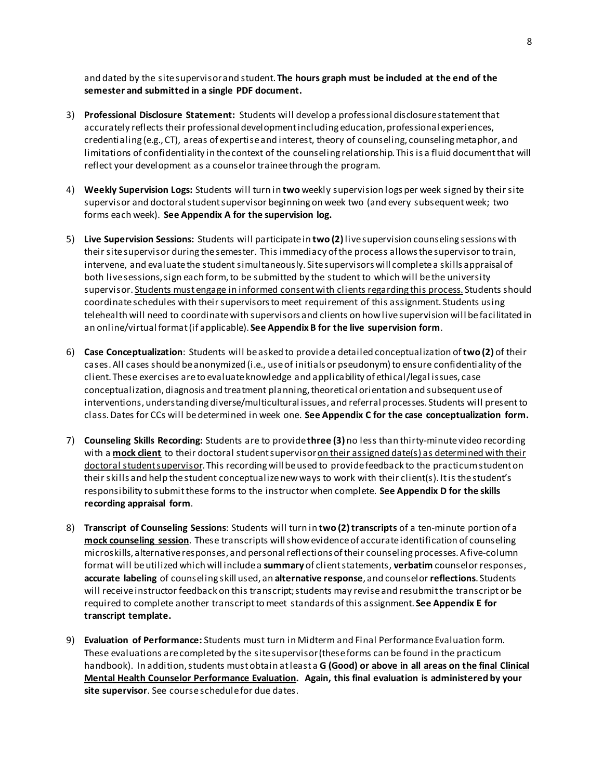and dated by the site supervisor and student. **The hours graph must be included at the end of the semester and submitted in a single PDF document.**

- 3) **Professional Disclosure Statement:** Students will develop a professional disclosure statement that accurately reflects their professional development including education, professional experiences, credentialing (e.g., CT), areas of expertise and interest, theory of counseling, counseling metaphor, and limitations of confidentiality in the context of the counseling relationship. This is a fluid document that will reflect your development as a counselor trainee through the program.
- 4) **Weekly Supervision Logs:** Students will turn in **two** weekly supervision logs per week signed by their site supervisor and doctoral student supervisor beginning on week two (and every subsequent week; two forms each week). **See Appendix A for the supervision log.**
- 5) **Live Supervision Sessions:** Students will participate in **two (2)**live supervision counseling sessions with their site supervisor during the semester. This immediacy of the process allows the supervisor to train, intervene, and evaluate the student simultaneously. Site supervisors will complete a skills appraisal of both live sessions, sign each form, to be submitted by the student to which will be the university supervisor. Students must engage in informed consent with clients regarding this process. Students should coordinate schedules with their supervisors to meet requirement of this assignment. Students using telehealth will need to coordinate with supervisors and clients on how live supervision will befacilitated in an online/virtual format (if applicable). **See Appendix B for the live supervision form**.
- 6) **Case Conceptualization**: Students will be asked to provide a detailed conceptualization of **two (2)** of their cases. All cases should be anonymized (i.e., use of initials or pseudonym) to ensure confidentiality of the client. These exercises are to evaluate knowledge and applicability of ethical/legal issues, case conceptualization, diagnosis and treatment planning, theoretical orientation and subsequent use of interventions, understanding diverse/multicultural issues, and referral processes. Students will present to class. Dates for CCs will be determined in week one. **See Appendix C for the case conceptualization form.**
- 7) **Counseling Skills Recording:** Students are to provide**three (3)** no less than thirty-minute video recording with a **mock client** to their doctoral student supervisor on their assigned date(s) as determined with their doctoral student supervisor. This recording will be used to provide feedback to the practicum student on their skills and help the student conceptualize new ways to work with their client(s). It is the student's responsibility to submit these forms to the instructor when complete. **See Appendix D for the skills recording appraisal form**.
- 8) **Transcript of Counseling Sessions**: Students will turn in **two (2)transcripts** of a ten-minute portion of a **mock counseling session**. These transcripts will show evidence of accurate identification of counseling microskills, alternative responses, and personal reflections of their counseling processes. A five-column format will be utilized which will include a **summary** of client statements, **verbatim** counselor responses, **accurate labeling** of counseling skill used, an **alternative response**, and counselor **reflections**. Students will receive instructor feedback on this transcript; students may revise and resubmit the transcript or be required to complete another transcript to meet standards of this assignment. **See Appendix E for transcript template.**
- 9) **Evaluation of Performance:** Students must turn in Midterm and Final Performance Evaluation form. These evaluations are completed by the site supervisor(these forms can be found in the practicum handbook). In addition, students must obtain at least a **G (Good) or above in all areas on the final Clinical Mental Health Counselor Performance Evaluation. Again, this final evaluation is administered by your site supervisor**. See course schedule for due dates.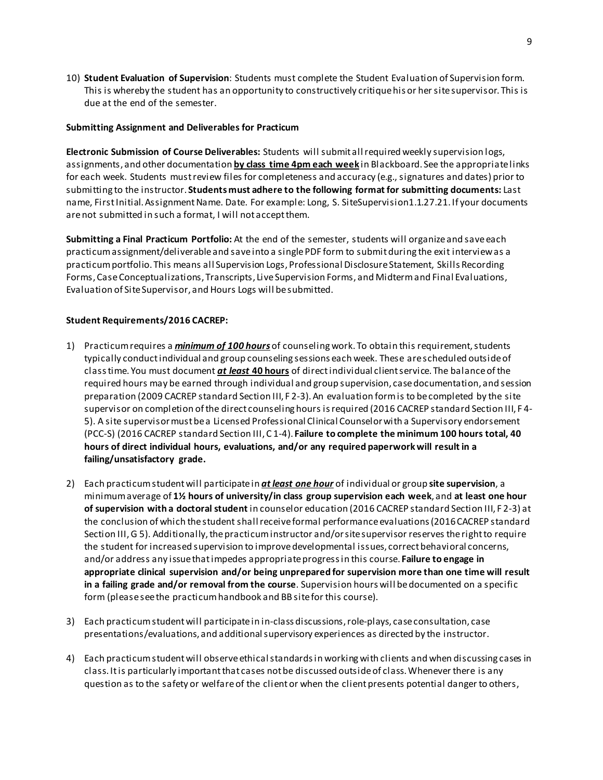10) **Student Evaluation of Supervision**: Students must complete the Student Evaluation of Supervision form. This is whereby the student has an opportunity to constructively critique his or her site supervisor. This is due at the end of the semester.

### **Submitting Assignment and Deliverables for Practicum**

**Electronic Submission of Course Deliverables:** Students will submit all required weekly supervision logs, assignments, and other documentation **by class time 4pm each week** in Blackboard. See the appropriate links for each week. Students must review files for completeness and accuracy (e.g., signatures and dates) prior to submitting to the instructor. **Students must adhere to the following format for submitting documents:** Last name, First Initial.Assignment Name. Date. For example: Long, S. SiteSupervision1.1.27.21. If your documents are not submitted in such a format, I will not accept them.

**Submitting a Final Practicum Portfolio:** At the end of the semester, students will organize and save each practicum assignment/deliverable and save into a single PDF form to submit during the exit interview as a practicum portfolio. This means all Supervision Logs, Professional Disclosure Statement, Skills Recording Forms, Case Conceptualizations, Transcripts, Live Supervision Forms, and Midterm and Final Evaluations, Evaluation of Site Supervisor, and Hours Logs will be submitted.

### **Student Requirements/2016 CACREP:**

- 1) Practicum requires a *minimum of 100 hours* of counseling work. To obtain this requirement, students typically conduct individual and group counseling sessions each week. These are scheduled outside of class time. You must document *at least* **40 hours** of direct individual client service. The balance of the required hours may be earned through individual and group supervision, case documentation, and session preparation (2009 CACREP standard Section III, F 2-3). An evaluation form is to be completed by the site supervisor on completion of the direct counseling hours is required (2016 CACREP standard Section III, F 4- 5). A site supervisor must be a Licensed Professional Clinical Counselor with a Supervisory endorsement (PCC-S) (2016 CACREP standard Section III, C 1-4). **Failure to complete the minimum 100 hours total, 40 hours of direct individual hours, evaluations, and/or any required paperwork will result in a failing/unsatisfactory grade.**
- 2) Each practicum student will participate in *at least one hour* of individual or group **site supervision**, a minimum average of **1½ hours of university/in class group supervision each week**, and **at least one hour of supervision with a doctoral student** in counselor education (2016 CACREP standard Section III, F 2-3) at the conclusion of which the student shall receive formal performance evaluations (2016 CACREP standard Section III, G 5). Additionally, the practicum instructor and/or site supervisor reserves the right to require the student for increased supervision to improve developmental issues, correct behavioral concerns, and/or address any issue that impedes appropriate progress in this course. **Failure to engage in appropriate clinical supervision and/or being unprepared for supervision more than one time will result in a failing grade and/or removal from the course**. Supervision hours will be documented on a specific form (please see the practicum handbook and BB site for this course).
- 3) Each practicum student will participate in in-class discussions, role-plays, case consultation, case presentations/evaluations, and additional supervisory experiences as directed by the instructor.
- 4) Each practicum student will observe ethical standards in working with clients and when discussing cases in class. It is particularly important that cases not be discussed outside of class. Whenever there is any question as to the safety or welfare of the client or when the client presents potential danger to others,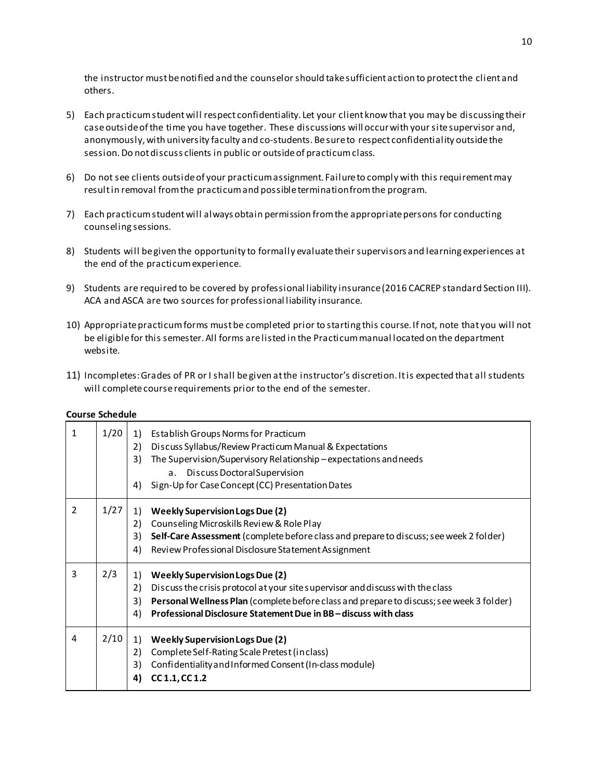the instructor must be notified and the counselor should take sufficient action to protect the client and others.

- 5) Each practicum student will respect confidentiality. Let your client know that you may be discussing their case outside of the time you have together. These discussions will occur with your site supervisor and, anonymously, with university faculty and co-students. Be sure to respect confidentiality outside the session. Do not discuss clients in public or outside of practicum class.
- 6) Do not see clients outside of your practicum assignment. Failure to comply with this requirement may result in removal from the practicum and possible termination from the program.
- 7) Each practicum student will always obtain permission from the appropriate persons for conducting counseling sessions.
- 8) Students will be given the opportunity to formally evaluate their supervisors and learning experiences at the end of the practicum experience.
- 9) Students are required to be covered by professional liability insurance (2016 CACREP standard Section III). ACA and ASCA are two sources for professional liability insurance.
- 10) Appropriate practicum forms must be completed prior to starting this course. If not, note that you will not be eligible for this semester. All forms are listed in the Practicum manual located on the department website.
- 11) Incompletes: Grades of PR or I shall be given at the instructor's discretion. It is expected that all students will complete course requirements prior to the end of the semester.

#### **Course Schedule**

| 1             | 1/20 | Establish Groups Norms for Practicum<br>1)<br>Discuss Syllabus/Review Practicum Manual & Expectations<br>2)<br>The Supervision/Supervisory Relationship-expectations and needs<br>3)<br>a. Discuss Doctoral Supervision<br>Sign-Up for Case Concept (CC) Presentation Dates<br>4)                              |
|---------------|------|----------------------------------------------------------------------------------------------------------------------------------------------------------------------------------------------------------------------------------------------------------------------------------------------------------------|
| $\mathcal{P}$ | 1/27 | <b>Weekly Supervision Logs Due (2)</b><br>1)<br>Counseling Microskills Review & Role Play<br>2)<br>Self-Care Assessment (complete before class and prepare to discuss; see week 2 folder)<br>3)<br>4)<br>Review Professional Disclosure Statement Assignment                                                   |
| 3             | 2/3  | <b>Weekly Supervision Logs Due (2)</b><br>1)<br>Discuss the crisis protocol at your site supervisor and discuss with the class<br>2)<br>Personal Wellness Plan (complete before class and prepare to discuss; see week 3 folder)<br>3)<br>Professional Disclosure Statement Due in BB-discuss with class<br>4) |
| 4             | 2/10 | <b>Weekly Supervision Logs Due (2)</b><br>1)<br>Complete Self-Rating Scale Pretest (in class)<br>2)<br>Confidentiality and Informed Consent (In-class module)<br>3)<br>CC 1.1, CC 1.2<br>4)                                                                                                                    |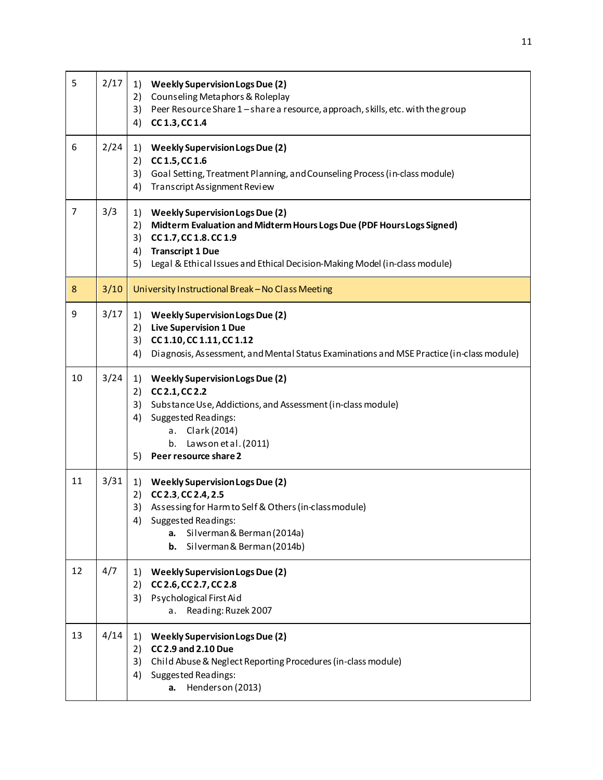| 5              | 2/17 | 1) Weekly Supervision Logs Due (2)<br>Counseling Metaphors & Roleplay<br>2)<br>3)<br>Peer Resource Share 1-share a resource, approach, skills, etc. with the group<br>4)<br>CC 1.3, CC 1.4                                                                                       |
|----------------|------|----------------------------------------------------------------------------------------------------------------------------------------------------------------------------------------------------------------------------------------------------------------------------------|
| 6              | 2/24 | <b>Weekly Supervision Logs Due (2)</b><br>1)<br>2)<br>CC 1.5, CC 1.6<br>3)<br>Goal Setting, Treatment Planning, and Counseling Process (in-class module)<br>4)<br>Transcript Assignment Review                                                                                   |
| $\overline{7}$ | 3/3  | <b>Weekly Supervision Logs Due (2)</b><br>1)<br>Midterm Evaluation and Midterm Hours Logs Due (PDF Hours Logs Signed)<br>2)<br>3)<br>CC 1.7, CC 1.8. CC 1.9<br><b>Transcript 1 Due</b><br>4)<br>Legal & Ethical Issues and Ethical Decision-Making Model (in-class module)<br>5) |
| 8              | 3/10 | University Instructional Break - No Class Meeting                                                                                                                                                                                                                                |
| 9              | 3/17 | 1) Weekly Supervision Logs Due (2)<br><b>Live Supervision 1 Due</b><br>2)<br>3) CC 1.10, CC 1.11, CC 1.12<br>4)<br>Diagnosis, Assessment, and Mental Status Examinations and MSE Practice (in-class module)                                                                      |
| 10             | 3/24 | <b>Weekly Supervision Logs Due (2)</b><br>1)<br>2)<br>CC 2.1, CC 2.2<br>Substance Use, Addictions, and Assessment (in-class module)<br>3)<br>Suggested Readings:<br>4)<br>a. Clark (2014)<br>b. Lawson et al. (2011)<br>Peer resource share 2<br>5)                              |
| 11             | 3/31 | 1)<br><b>Weekly Supervision Logs Due (2)</b><br>CC 2.3, CC 2.4, 2.5<br>2)<br>3)<br>Assessing for Harm to Self & Others (in-class module)<br>Suggested Readings:<br>4)<br>Silverman & Berman (2014a)<br>a.<br>Silverman & Berman (2014b)<br>b.                                    |
| 12             | 4/7  | <b>Weekly Supervision Logs Due (2)</b><br>1)<br>CC 2.6, CC 2.7, CC 2.8<br>2)<br>Psychological First Aid<br>3)<br>Reading: Ruzek 2007<br>a.                                                                                                                                       |
| 13             | 4/14 | <b>Weekly Supervision Logs Due (2)</b><br>1)<br><b>CC 2.9 and 2.10 Due</b><br>2)<br>Child Abuse & Neglect Reporting Procedures (in-class module)<br>3)<br>Suggested Readings:<br>4)<br>Henderson (2013)<br>а.                                                                    |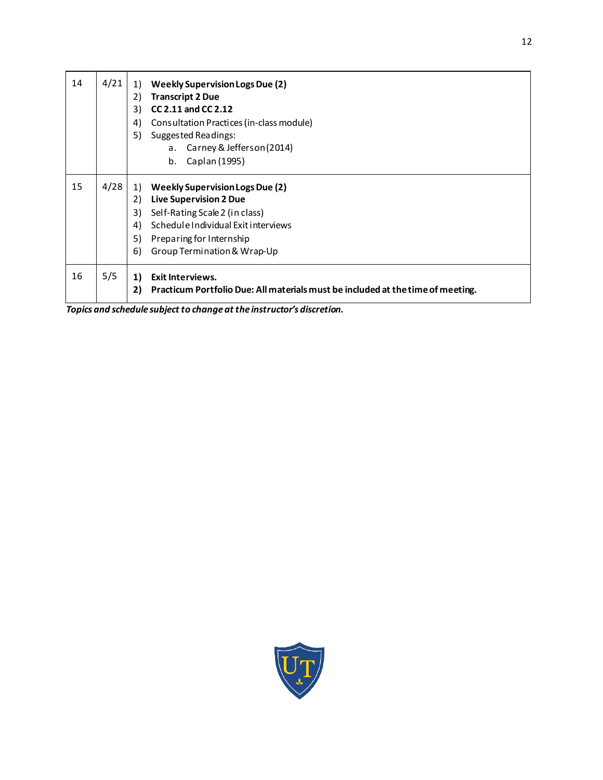| 14 | 4/21 | <b>Weekly Supervision Logs Due (2)</b><br>1)<br>2)<br><b>Transcript 2 Due</b><br>CC 2.11 and CC 2.12<br>3)<br>Consultation Practices (in-class module)<br>4)<br>5)<br><b>Suggested Readings:</b><br>a. Carney & Jefferson (2014)<br>b.<br>Caplan (1995) |
|----|------|---------------------------------------------------------------------------------------------------------------------------------------------------------------------------------------------------------------------------------------------------------|
| 15 | 4/28 | <b>Weekly Supervision Logs Due (2)</b><br>1)<br>2)<br><b>Live Supervision 2 Due</b><br>3)<br>Self-Rating Scale 2 (in class)<br>Schedule Individual Exit interviews<br>4)<br>5)<br>Preparing for Internship<br>6)<br>Group Termination & Wrap-Up         |
| 16 | 5/5  | <b>Exit Interviews.</b><br>1)<br>Practicum Portfolio Due: All materials must be included at the time of meeting.<br>2)                                                                                                                                  |

*Topics and schedule subject to change at the instructor's discretion.*

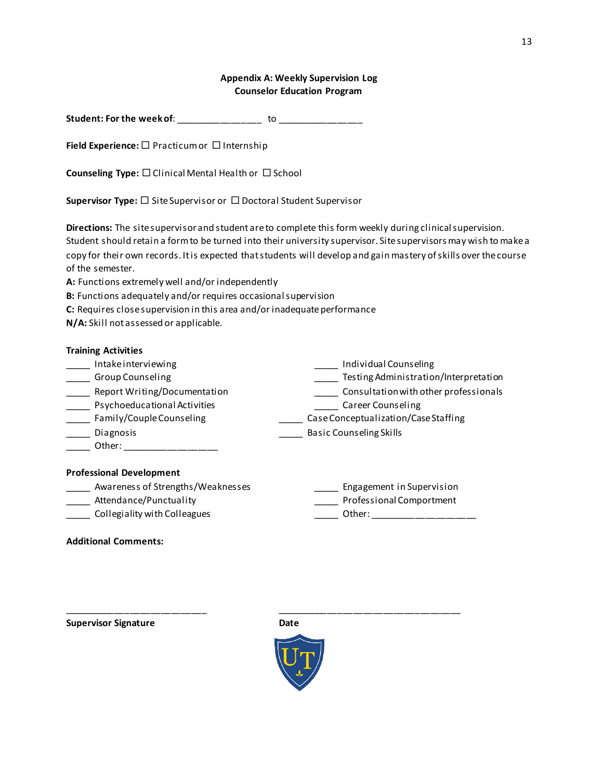### **Appendix A: Weekly Supervision Log Counselor Education Program**

| Student: For the week of: |  |  |
|---------------------------|--|--|
|                           |  |  |

**Field Experience:** □ Practicum or □ Internship

**Counseling Type:** □ Clinical Mental Health or □ School

**Supervisor Type:** □ Site Supervisor or □ Doctoral Student Supervisor

**Directions:** The site supervisor and student are to complete this form weekly during clinical supervision. Student should retain a form to be turned into their university supervisor. Site supervisors may wish to make a copy for their own records. It is expected that students will develop and gain mastery of skills over the course of the semester.

**A:** Functions extremely well and/or independently

- **B:** Functions adequately and/or requires occasional supervision
- **C:** Requires close supervision in this area and/or inadequate performance
- **N/A:** Skill not assessed or applicable.

### **Training Activities**

- \_\_\_\_\_ Intake interviewing \_\_\_\_\_ Individual Counseling
- \_\_\_\_\_ Group Counseling \_\_\_\_\_ Testing Administration/Interpretation
- \_\_\_\_\_ Report Writing/Documentation \_\_\_\_\_ Consultation with other professionals
- \_\_\_\_\_ Psychoeducational Activities \_\_\_\_\_ Career Counseling
- \_\_\_\_\_ Family/Couple Counseling \_\_\_\_\_ Case Conceptualization/Case Staffing
- \_\_\_\_\_ Diagnosis \_\_\_\_\_ Basic Counseling Skills
- \_\_\_\_\_ Other: \_\_\_\_\_\_\_\_\_\_\_\_\_\_\_\_\_\_\_

### **Professional Development**

- \_\_\_\_\_ Awareness of Strengths/Weaknesses \_\_\_\_\_ Engagement in Supervision
- 
- 
- \_\_\_\_\_ Attendance/Punctuality \_\_\_\_\_ Professional Comportment
- \_\_\_\_\_ Collegiality with Colleagues \_\_\_\_\_ Other: \_\_\_\_\_\_\_\_\_\_\_\_\_\_\_\_\_\_\_\_\_

### **Additional Comments:**

**Supervisor Signature Date Date** 

\_\_\_\_\_\_\_\_\_\_\_\_\_\_\_\_\_\_\_\_\_\_\_\_\_\_\_\_ \_\_\_\_\_\_\_\_\_\_\_\_\_\_\_\_\_\_\_\_\_\_\_\_\_\_\_\_\_\_\_\_\_\_\_\_

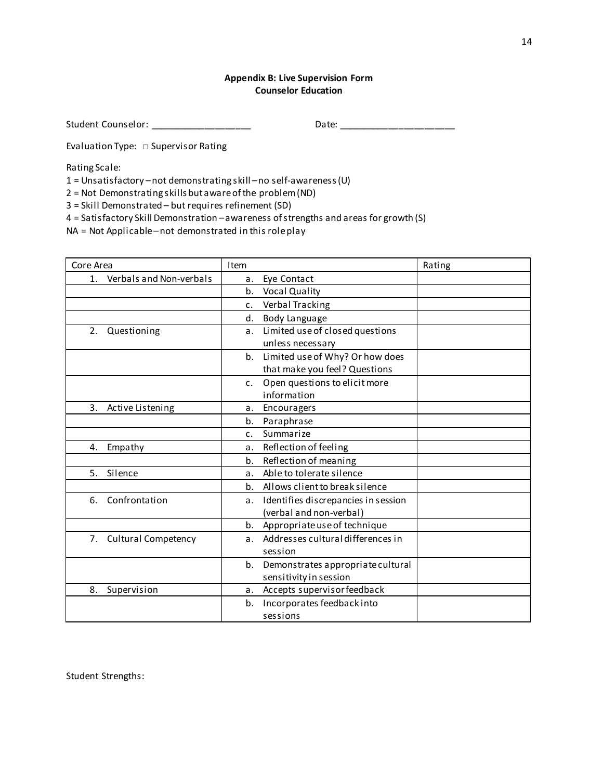### **Appendix B: Live Supervision Form Counselor Education**

Student Counselor: \_\_\_\_\_\_\_\_\_\_\_\_\_\_\_\_\_\_\_\_ Date: \_\_\_\_\_\_\_\_\_\_\_\_\_\_\_\_\_\_\_\_\_\_\_

Evaluation Type: □ Supervisor Rating

Rating Scale:

1 = Unsatisfactory –not demonstrating skill –no self-awareness (U)

2 = Not Demonstrating skills but aware of the problem (ND)

3 = Skill Demonstrated – but requires refinement (SD)

4 = Satisfactory Skill Demonstration –awareness of strengths and areas for growth (S)

NA = Not Applicable –not demonstrated in this role play

| Core Area                                 | Item                                            | Rating |
|-------------------------------------------|-------------------------------------------------|--------|
| Verbals and Non-verbals<br>1 <sub>1</sub> | Eye Contact<br>а.                               |        |
|                                           | <b>Vocal Quality</b><br>b.                      |        |
|                                           | Verbal Tracking<br>$\mathsf{C}$ .               |        |
|                                           | Body Language<br>d.                             |        |
| 2.<br>Questioning                         | Limited use of closed questions<br>а.           |        |
|                                           | unless necessary                                |        |
|                                           | Limited use of Why? Or how does<br>b.           |        |
|                                           | that make you feel? Questions                   |        |
|                                           | Open questions to elicit more<br>$\mathsf{c}$ . |        |
|                                           | information                                     |        |
| 3.<br>Active Listening                    | Encouragers<br>a.                               |        |
|                                           | Paraphrase<br>b.                                |        |
|                                           | Summarize<br>C <sub>1</sub>                     |        |
| Empathy<br>4.                             | Reflection of feeling<br>a.                     |        |
|                                           | Reflection of meaning<br>b.                     |        |
| 5.<br>Silence                             | Able to tolerate silence<br>a.                  |        |
|                                           | Allows client to break silence<br>b.            |        |
| Confrontation<br>6.                       | Identifies discrepancies in session<br>a.       |        |
|                                           | (verbal and non-verbal)                         |        |
|                                           | Appropriate use of technique<br>b.              |        |
| 7. Cultural Competency                    | Addresses cultural differences in<br>a.         |        |
|                                           | session                                         |        |
|                                           | Demonstrates appropriate cultural<br>b.         |        |
|                                           | sensitivity in session                          |        |
| Supervision<br>8.                         | Accepts supervisor feedback<br>a.               |        |
|                                           | Incorporates feedback into<br>b.                |        |
|                                           | sessions                                        |        |

Student Strengths: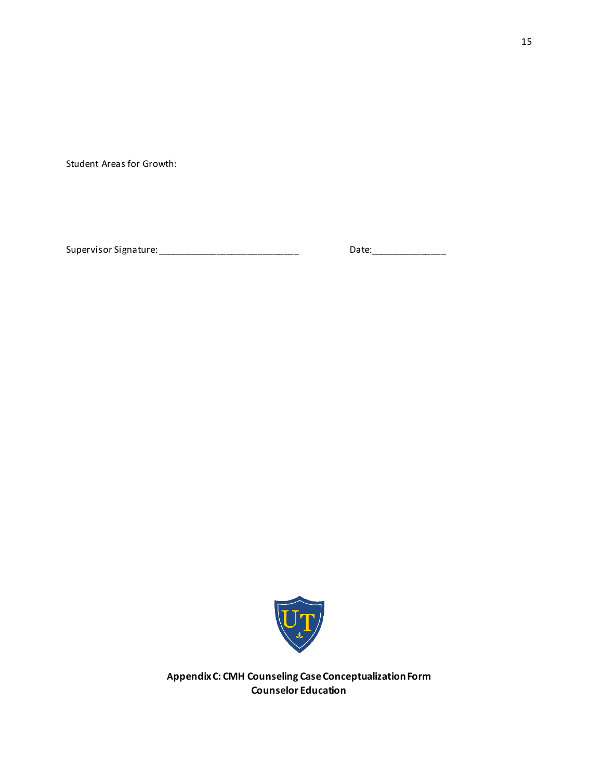Student Areas for Growth:

Supervisor Signature: \_\_\_\_\_\_\_\_\_\_\_\_\_\_\_\_\_\_\_\_\_\_\_\_\_\_\_\_ Date:\_\_\_\_\_\_\_\_\_\_\_\_\_\_\_



**Appendix C: CMH Counseling Case Conceptualization Form Counselor Education**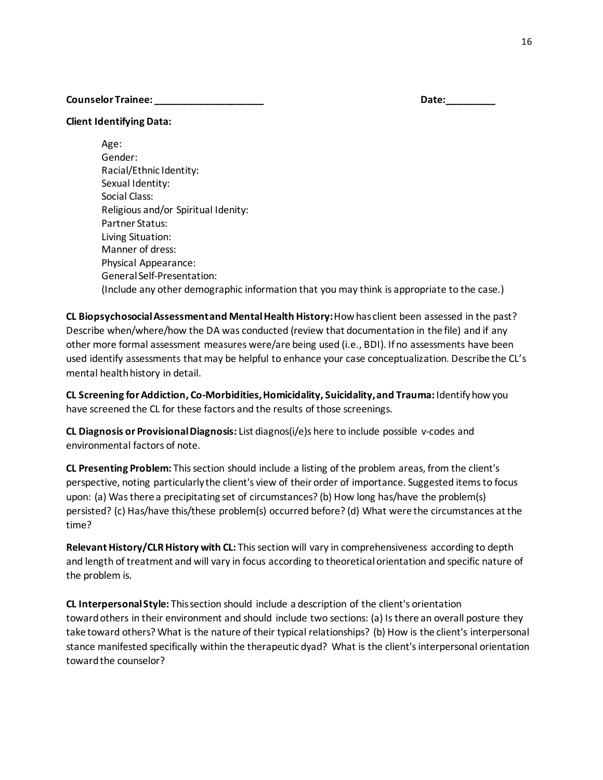### **Counselor Trainee: \_\_\_\_\_\_\_\_\_\_\_\_\_\_\_\_\_\_\_\_ Date:\_\_\_\_\_\_\_\_\_**

**Client Identifying Data:**

Age: Gender: Racial/Ethnic Identity: Sexual Identity: Social Class: Religious and/or Spiritual Idenity: Partner Status: Living Situation: Manner of dress: Physical Appearance: General Self-Presentation: (Include any other demographic information that you may think is appropriate to the case.)

**CL Biopsychosocial Assessment and Mental Health History:** How has client been assessed in the past? Describe when/where/how the DA was conducted (review that documentation in the file) and if any other more formal assessment measures were/are being used (i.e., BDI). If no assessments have been used identify assessments that may be helpful to enhance your case conceptualization. Describe the CL's mental health history in detail.

**CL Screening for Addiction, Co-Morbidities, Homicidality, Suicidality, and Trauma:** Identify how you have screened the CL for these factors and the results of those screenings.

**CL Diagnosis or Provisional Diagnosis:** List diagnos(i/e)s here to include possible v-codes and environmental factors of note.

**CL Presenting Problem:** This section should include a listing of the problem areas, from the client's perspective, noting particularly the client's view of their order of importance. Suggested items to focus upon: (a) Was there a precipitating set of circumstances? (b) How long has/have the problem(s) persisted? (c) Has/have this/these problem(s) occurred before? (d) What were the circumstances at the time?

**Relevant History/CLR History with CL:** This section will vary in comprehensiveness according to depth and length of treatment and will vary in focus according to theoretical orientation and specific nature of the problem is.

**CL Interpersonal Style:** This section should include a description of the client's orientation toward others in their environment and should include two sections: (a) Is there an overall posture they take toward others? What is the nature of their typical relationships? (b) How is the client's interpersonal stance manifested specifically within the therapeutic dyad? What is the client's interpersonal orientation towardthe counselor?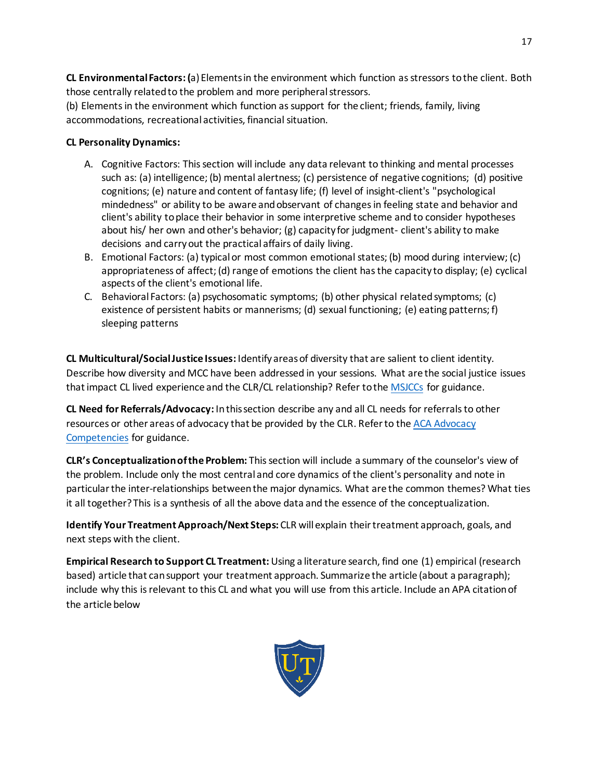**CL Environmental Factors: (**a) Elements in the environment which function as stressors to the client. Both those centrally related to the problem and more peripheral stressors.

(b) Elements in the environment which function as support for the client; friends, family, living accommodations, recreational activities, financial situation.

# **CL Personality Dynamics:**

- A. Cognitive Factors: This section will include any data relevant to thinking and mental processes such as: (a) intelligence; (b) mental alertness; (c) persistence of negative cognitions; (d) positive cognitions; (e) nature and content of fantasy life; (f) level of insight-client's "psychological mindedness" or ability to be aware and observant of changes in feeling state and behavior and client's ability to place their behavior in some interpretive scheme and to consider hypotheses about his/ her own and other's behavior; (g) capacity for judgment- client's ability to make decisions and carry out the practical affairs of daily living.
- B. Emotional Factors: (a) typical or most common emotional states; (b) mood during interview; (c) appropriateness of affect; (d) range of emotions the client has the capacity to display; (e) cyclical aspects of the client's emotional life.
- C. Behavioral Factors: (a) psychosomatic symptoms; (b) other physical related symptoms; (c) existence of persistent habits or mannerisms; (d) sexual functioning; (e) eating patterns; f) sleeping patterns

**CL Multicultural/Social Justice Issues:** Identify areas of diversity that are salient to client identity. Describe how diversity and MCC have been addressed in your sessions. What are the social justice issues that impact CL lived experience and the CLR/CL relationship? Refer to the [MSJCCs](https://www.counseling.org/docs/default-source/competencies/multicultural-and-social-justice-counseling-competencies.pdf?sfvrsn=20) for guidance.

**CL Need for Referrals/Advocacy:** In this section describe any and all CL needs for referrals to other resources or other areas of advocacy that be provided by the CLR. Refer to the [ACA Advocacy](https://www.counseling.org/docs/default-source/competencies/aca-advocacy-competencies-updated-may-2020.pdf?sfvrsn=f410212c_4)  [Competencies](https://www.counseling.org/docs/default-source/competencies/aca-advocacy-competencies-updated-may-2020.pdf?sfvrsn=f410212c_4) for guidance.

**CLR's Conceptualization of the Problem:** This section will include a summary of the counselor's view of the problem. Include only the most central and core dynamics of the client's personality and note in particular the inter-relationships between the major dynamics. What are the common themes? What ties it all together? This is a synthesis of all the above data and the essence of the conceptualization.

**Identify Your Treatment Approach/Next Steps:** CLR will explain their treatment approach, goals, and next steps with the client.

**Empirical Research to Support CL Treatment:** Using a literature search, find one (1) empirical (research based) article that can support your treatment approach. Summarize the article (about a paragraph); include why this is relevant to this CL and what you will use from this article. Include an APA citation of the article below

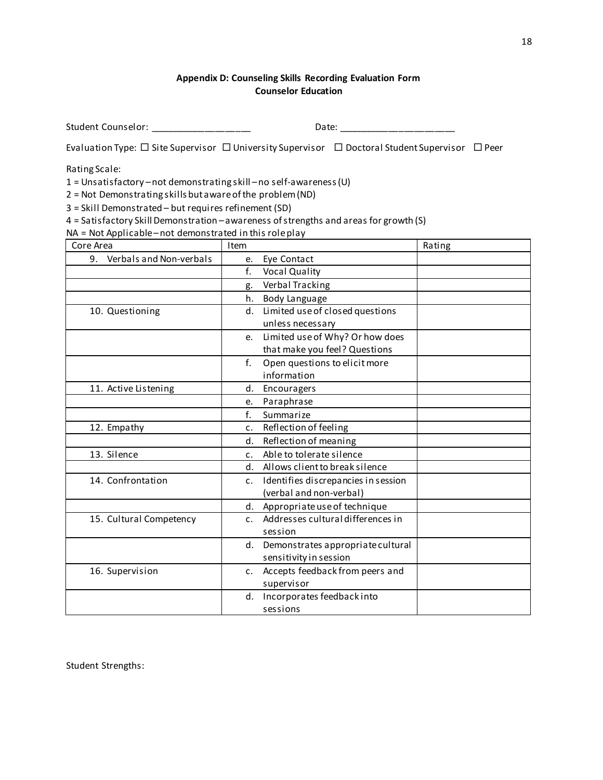# **Appendix D: Counseling Skills Recording Evaluation Form Counselor Education**

Student Counselor: \_\_\_\_\_\_\_\_\_\_\_\_\_\_\_\_\_\_\_\_ Date: \_\_\_\_\_\_\_\_\_\_\_\_\_\_\_\_\_\_\_\_\_\_\_

Evaluation Type:  $\Box$  Site Supervisor  $\Box$  University Supervisor  $\Box$  Doctoral Student Supervisor  $\Box$  Peer

Rating Scale:

1 = Unsatisfactory –not demonstrating skill –no self-awareness (U)

2 = Not Demonstrating skills but aware of the problem (ND)

3 = Skill Demonstrated – but requires refinement (SD)

4 = Satisfactory Skill Demonstration –awareness of strengths and areas for growth (S)

NA = Not Applicable –not demonstrated in this role play

| Core Area                     | Item                                              | Rating |
|-------------------------------|---------------------------------------------------|--------|
| Verbals and Non-verbals<br>9. | Eye Contact<br>e.                                 |        |
|                               | f.<br><b>Vocal Quality</b>                        |        |
|                               | Verbal Tracking<br>g.                             |        |
|                               | Body Language<br>h.                               |        |
| 10. Questioning               | Limited use of closed questions<br>d.             |        |
|                               | unless necessary                                  |        |
|                               | Limited use of Why? Or how does<br>e.             |        |
|                               | that make you feel? Questions                     |        |
|                               | Open questions to elicit more<br>f.               |        |
|                               | information                                       |        |
| 11. Active Listening          | Encouragers<br>d.                                 |        |
|                               | Paraphrase<br>e.                                  |        |
|                               | f.<br>Summarize                                   |        |
| 12. Empathy                   | Reflection of feeling<br>c.                       |        |
|                               | Reflection of meaning<br>d.                       |        |
| 13. Silence                   | Able to tolerate silence<br>$\mathsf{C}$ .        |        |
|                               | Allows client to break silence<br>d.              |        |
| 14. Confrontation             | Identifies discrepancies in session<br>c.         |        |
|                               | (verbal and non-verbal)                           |        |
|                               | Appropriate use of technique<br>d.                |        |
| 15. Cultural Competency       | Addresses cultural differences in<br>C.           |        |
|                               | session                                           |        |
|                               | Demonstrates appropriate cultural<br>d.           |        |
|                               | sensitivity in session                            |        |
| 16. Supervision               | Accepts feedback from peers and<br>$\mathsf{C}$ . |        |
|                               | supervisor                                        |        |
|                               | Incorporates feedback into<br>d.                  |        |
|                               | sessions                                          |        |

Student Strengths: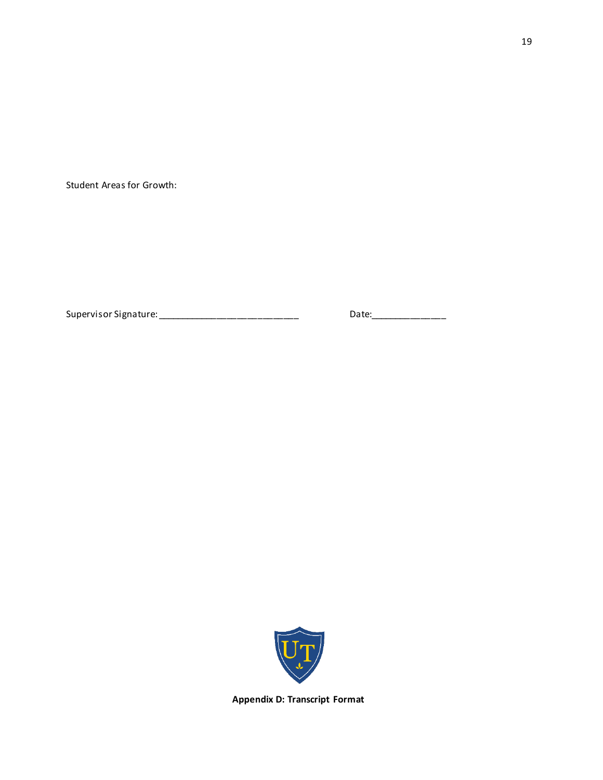Student Areas for Growth:

Supervisor Signature: \_\_\_\_\_\_\_\_\_\_\_\_\_\_\_\_\_\_\_\_\_\_\_\_\_\_\_\_ Date:\_\_\_\_\_\_\_\_\_\_\_\_\_\_\_



**Appendix D: Transcript Format**